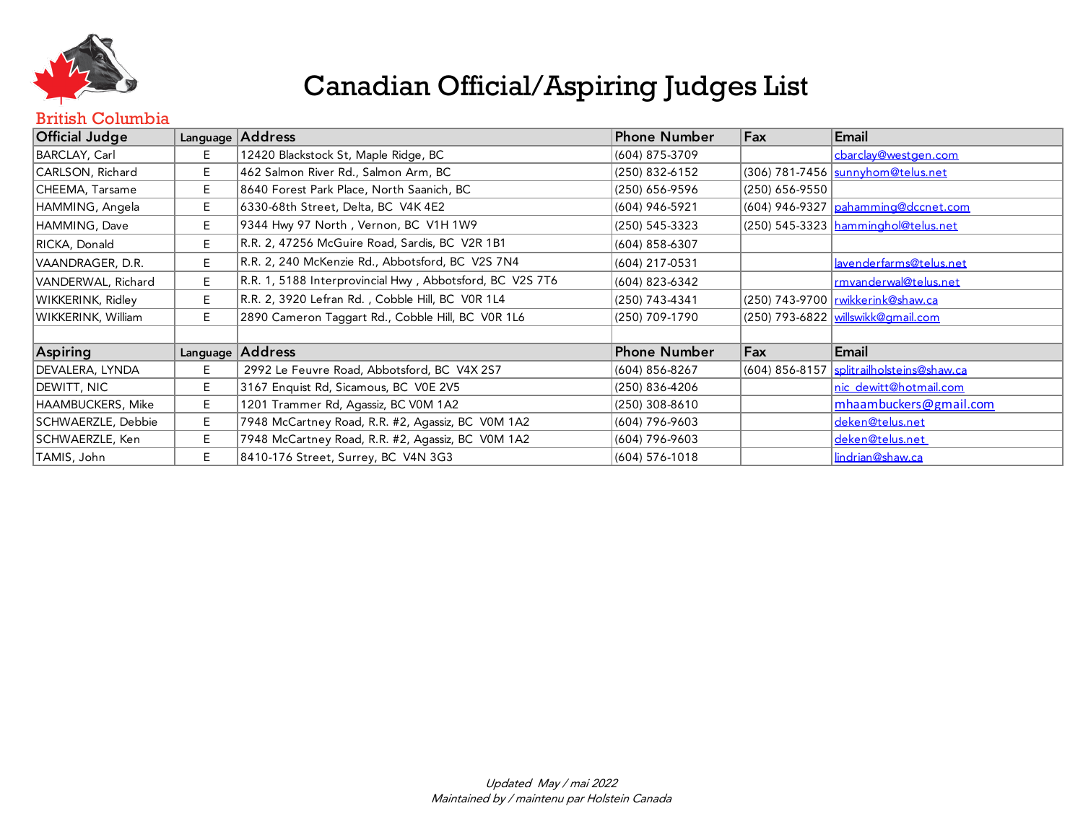

#### British Columbia

| <b>Official Judge</b> |    | Language Address                                         | Phone Number        | Fax            | Email                                       |
|-----------------------|----|----------------------------------------------------------|---------------------|----------------|---------------------------------------------|
| BARCLAY, Carl         | E. | 12420 Blackstock St, Maple Ridge, BC                     | (604) 875-3709      |                | cbarclay@westgen.com                        |
| CARLSON, Richard      | Е. | 462 Salmon River Rd., Salmon Arm, BC                     | (250) 832-6152      |                | (306) 781-7456   sunnyhom@telus.net         |
| CHEEMA, Tarsame       | E. | 8640 Forest Park Place, North Saanich, BC                | (250) 656-9596      | (250) 656-9550 |                                             |
| HAMMING, Angela       | E. | 6330-68th Street, Delta, BC V4K 4E2                      | (604) 946-5921      |                | $(604)$ 946-9327 $\rho$ ahamming@dccnet.com |
| HAMMING, Dave         | E. | 9344 Hwy 97 North, Vernon, BC V1H 1W9                    | (250) 545-3323      |                | (250) 545-3323 hamminghol@telus.net         |
| RICKA, Donald         | E. | R.R. 2, 47256 McGuire Road, Sardis, BC V2R 1B1           | (604) 858-6307      |                |                                             |
| VAANDRAGER, D.R.      | Е. | R.R. 2, 240 McKenzie Rd., Abbotsford, BC V2S 7N4         | (604) 217-0531      |                | lavenderfarms@telus.net                     |
| VANDERWAL, Richard    | E. | R.R. 1, 5188 Interprovincial Hwy, Abbotsford, BC V2S 7T6 | (604) 823-6342      |                | rmvanderwal@telus.net                       |
| WIKKERINK, Ridley     | E. | R.R. 2, 3920 Lefran Rd., Cobble Hill, BC VOR 1L4         | (250) 743-4341      |                | (250) 743-9700   rwikkerink@shaw.ca         |
| WIKKERINK, William    | Е. | 2890 Cameron Taggart Rd., Cobble Hill, BC V0R 1L6        | (250) 709-1790      |                | (250) 793-6822   willswikk@amail.com        |
|                       |    |                                                          |                     |                |                                             |
| Aspiring              |    | Language Address                                         | <b>Phone Number</b> | Fax            | Email                                       |
| DEVALERA, LYNDA       | E. | 2992 Le Feuvre Road, Abbotsford, BC V4X 2S7              | (604) 856-8267      |                | (604) 856-8157   splitrailholsteins@shaw.ca |
| DEWITT, NIC           | E. | 3167 Enquist Rd, Sicamous, BC V0E 2V5                    | (250) 836-4206      |                | nic dewitt@hotmail.com                      |
| HAAMBUCKERS, Mike     | E. | 1201 Trammer Rd, Agassiz, BC V0M 1A2                     | (250) 308-8610      |                | mhaambuckers@gmail.com                      |
| SCHWAERZLE, Debbie    | E. | 7948 McCartney Road, R.R. #2, Agassiz, BC V0M 1A2        | (604) 796-9603      |                | deken@telus.net                             |
| SCHWAERZLE, Ken       | Е. | 7948 McCartney Road, R.R. #2, Agassiz, BC V0M 1A2        | (604) 796-9603      |                | deken@telus.net                             |
| TAMIS, John           | E. | 8410-176 Street, Surrey, BC V4N 3G3                      | (604) 576-1018      |                | lindrian@shaw.ca                            |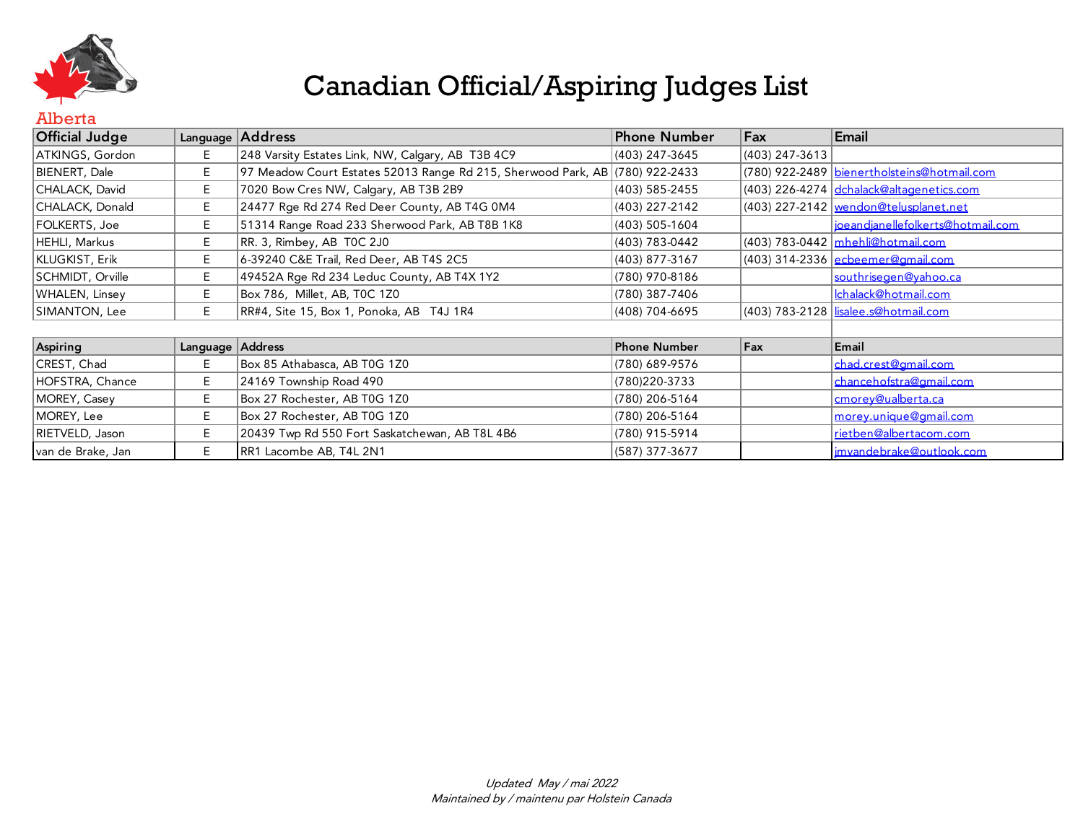

#### Alberta

| <b>Official Judge</b> |                  | Language Address                                                             | Phone Number        | Fax            | Email                                       |
|-----------------------|------------------|------------------------------------------------------------------------------|---------------------|----------------|---------------------------------------------|
| ATKINGS, Gordon       | E.               | 248 Varsity Estates Link, NW, Calgary, AB T3B 4C9                            | (403) 247-3645      | (403) 247-3613 |                                             |
| BIENERT, Dale         | E.               | 97 Meadow Court Estates 52013 Range Rd 215, Sherwood Park, AB (780) 922-2433 |                     |                | (780) 922-2489 bienertholsteins@hotmail.com |
| CHALACK, David        | Е                | 7020 Bow Cres NW, Calgary, AB T3B 2B9                                        | (403) 585-2455      |                | (403) 226-4274 dchalack@altagenetics.com    |
| CHALACK, Donald       | E.               | 24477 Rge Rd 274 Red Deer County, AB T4G 0M4                                 | (403) 227-2142      |                | (403) 227-2142   wendon@telusplanet.net     |
| FOLKERTS, Joe         | E.               | 51314 Range Road 233 Sherwood Park, AB T8B 1K8                               | (403) 505-1604      |                | ioeandianellefolkerts@hotmail.com           |
| HEHLI, Markus         | E.               | RR. 3, Rimbey, AB TOC 2J0                                                    | (403) 783-0442      |                | (403) 783-0442 mhehli@hotmail.com           |
| KLUGKIST, Erik        | E.               | 6-39240 C&E Trail, Red Deer, AB T4S 2C5                                      | (403) 877-3167      |                | $(403)$ 314-2336 ecbeemer@gmail.com         |
| SCHMIDT, Orville      | E.               | 49452A Rge Rd 234 Leduc County, AB T4X 1Y2                                   | (780) 970-8186      |                | southrise gen@vahoo.ca                      |
| WHALEN, Linsey        | E.               | Box 786, Millet, AB, TOC 1Z0                                                 | (780) 387-7406      |                | Ichalack@hotmail.com                        |
| SIMANTON, Lee         | E.               | RR#4, Site 15, Box 1, Ponoka, AB T4J 1R4                                     | (408) 704-6695      |                | (403) 783-2128   lisalee.s@hotmail.com      |
|                       |                  |                                                                              |                     |                |                                             |
| Aspiring              | Language Address |                                                                              | <b>Phone Number</b> | Fax            | Email                                       |
| CREST, Chad           | Е.               | Box 85 Athabasca, AB T0G 1Z0                                                 | (780) 689-9576      |                | chad.crest@gmail.com                        |
| HOFSTRA, Chance       | E.               | 24169 Township Road 490                                                      | (780)220-3733       |                | chancehofstra@gmail.com                     |
| MOREY, Casey          | Е                | Box 27 Rochester, AB T0G 1Z0                                                 | (780) 206-5164      |                | cmorev@ualberta.ca                          |
| MOREY, Lee            | E.               | Box 27 Rochester, AB T0G 1Z0                                                 | (780) 206-5164      |                | morey.unique@gmail.com                      |
| RIETVELD, Jason       | E.               | 20439 Twp Rd 550 Fort Saskatchewan, AB T8L 4B6                               | (780) 915-5914      |                | rietben@albertacom.com                      |

van de Brake, Jan **E** RR1 Lacombe AB, T4L 2N1 (587) 377-3677 junior (587) 377-3677 junior en la en la en la en la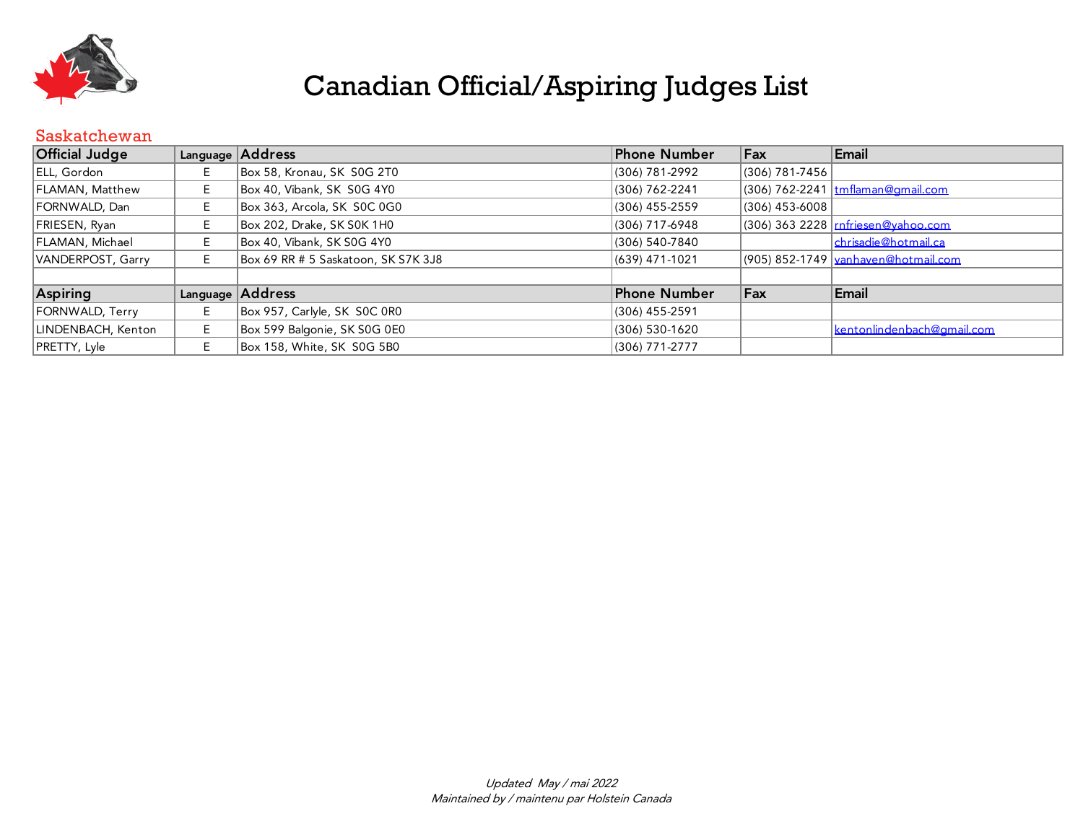

#### Saskatchewan

| <b>Official Judge</b> |    | Language Address                    | Phone Number        | Fax              | Email                                      |
|-----------------------|----|-------------------------------------|---------------------|------------------|--------------------------------------------|
| ELL, Gordon           | E. | Box 58, Kronau, SK S0G 2T0          | (306) 781-2992      | (306) 781-7456   |                                            |
| FLAMAN, Matthew       | E. | Box 40, Vibank, SK S0G 4Y0          | (306) 762-2241      |                  | (306) 762-2241   tmflaman@gmail.com        |
| FORNWALD, Dan         | F. | Box 363, Arcola, SK SOC 0G0         | (306) 455-2559      | $(306)$ 453-6008 |                                            |
| FRIESEN, Ryan         |    | Box 202, Drake, SK S0K 1H0          | (306) 717-6948      |                  | (306) 363 2228 rnfriesen@yahoo.com         |
| FLAMAN, Michael       | E. | Box 40, Vibank, SK S0G 4Y0          | (306) 540-7840      |                  | chrisadie@hotmail.ca                       |
| VANDERPOST, Garry     | E  | Box 69 RR # 5 Saskatoon, SK S7K 3J8 | (639) 471-1021      |                  | (905) 852-1749 <u>vanhaven@hotmail.com</u> |
|                       |    |                                     |                     |                  |                                            |
| Aspiring              |    | Language Address                    | <b>Phone Number</b> | Fax              | Email                                      |
| FORNWALD, Terry       | E  | Box 957, Carlyle, SK SOC 0R0        | (306) 455-2591      |                  |                                            |
| LINDENBACH, Kenton    | E. | Box 599 Balgonie, SK S0G 0E0        | (306) 530-1620      |                  | kentonlindenbach@gmail.com                 |
| PRETTY, Lyle          | E. | Box 158, White, SK S0G 5B0          | (306) 771-2777      |                  |                                            |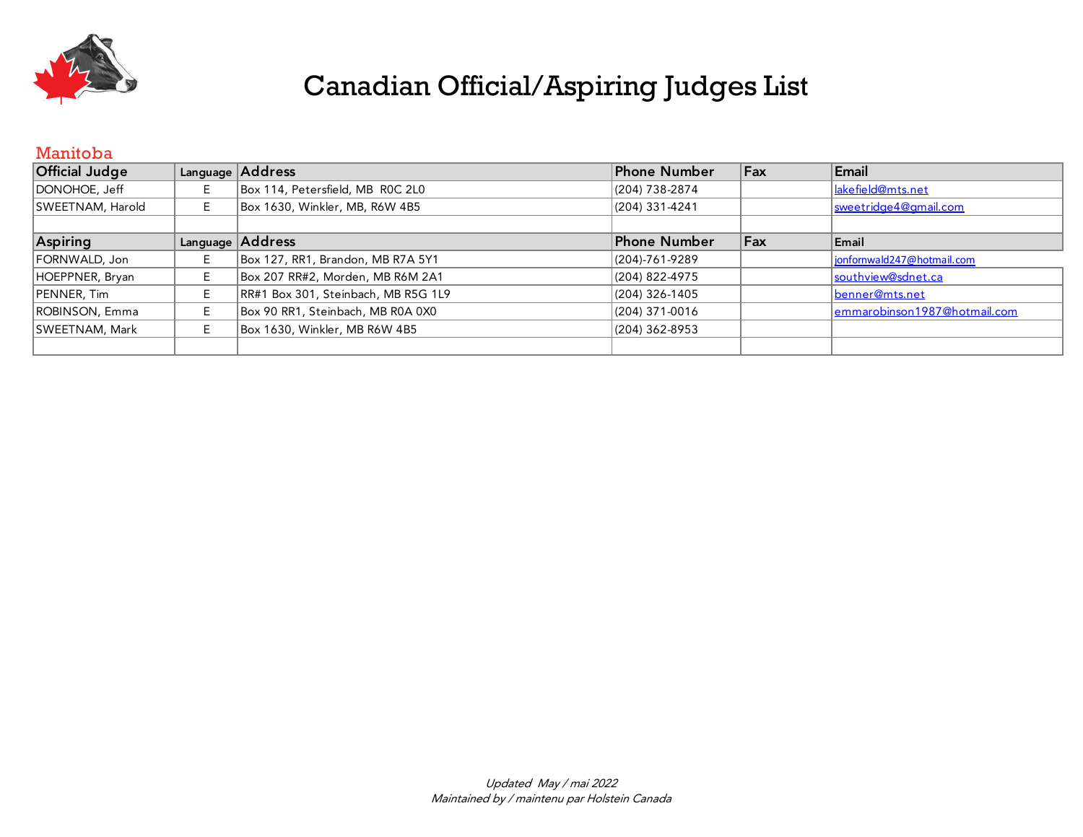

#### Manitoba

| <b>Official Judge</b> |   | Language Address                    | Phone Number   | Fax | Email                        |
|-----------------------|---|-------------------------------------|----------------|-----|------------------------------|
| DONOHOE, Jeff         |   | Box 114, Petersfield, MB ROC 2L0    | (204) 738-2874 |     | Iakefield@mts.net            |
| SWEETNAM, Harold      |   | Box 1630, Winkler, MB, R6W 4B5      | (204) 331-4241 |     | sweetridge4@gmail.com        |
|                       |   |                                     |                |     |                              |
| Aspiring              |   | Language Address                    | Phone Number   | Fax | Email                        |
| FORNWALD, Jon         | E | Box 127, RR1, Brandon, MB R7A 5Y1   | (204)-761-9289 |     | jonfornwald247@hotmail.com   |
| HOEPPNER, Bryan       |   | Box 207 RR#2, Morden, MB R6M 2A1    | (204) 822-4975 |     | southview@sdnet.ca           |
| PENNER, Tim           | E | RR#1 Box 301, Steinbach, MB R5G 1L9 | (204) 326-1405 |     | benner@mts.net               |
| ROBINSON, Emma        |   | Box 90 RR1, Steinbach, MB R0A 0X0   | (204) 371-0016 |     | emmarobinson1987@hotmail.com |
| SWEETNAM, Mark        | E | Box 1630, Winkler, MB R6W 4B5       | (204) 362-8953 |     |                              |
|                       |   |                                     |                |     |                              |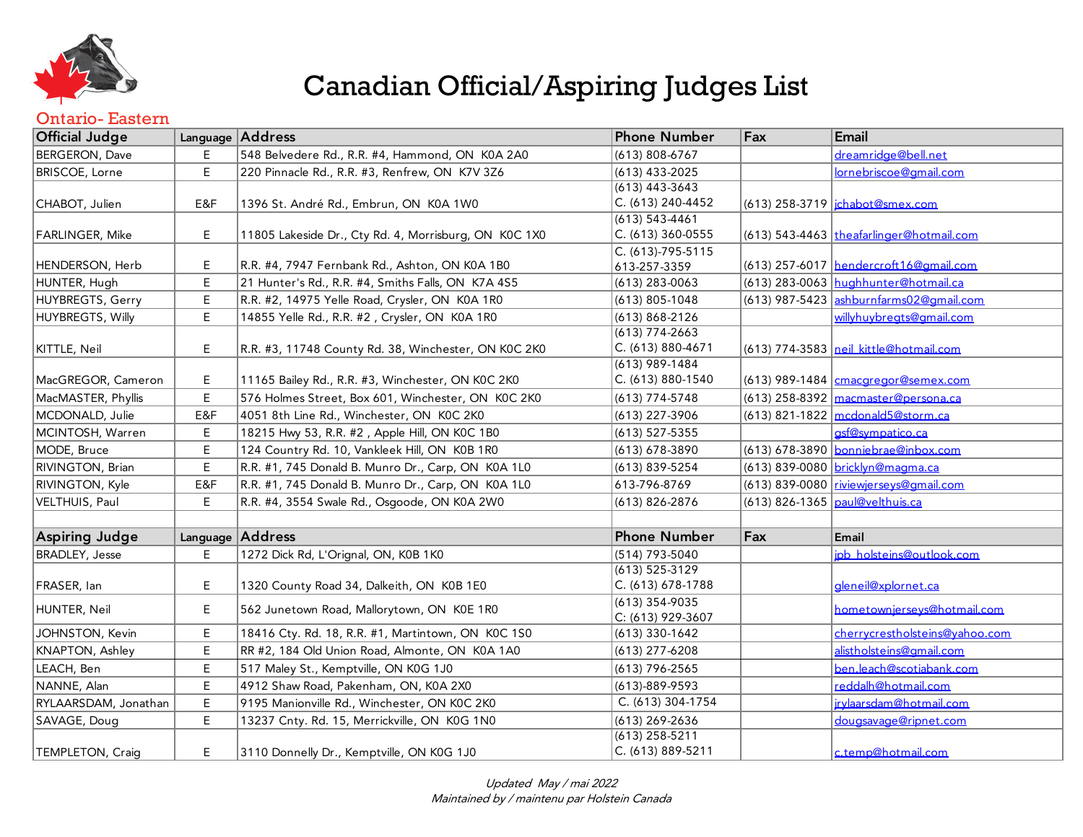

#### Ontario- Eastern

| <b>Official Judge</b> |     | Language Address                                      | <b>Phone Number</b>                     | Fax | Email                                    |
|-----------------------|-----|-------------------------------------------------------|-----------------------------------------|-----|------------------------------------------|
| BERGERON, Dave        |     | 548 Belvedere Rd., R.R. #4, Hammond, ON K0A 2A0       | (613) 808-6767                          |     | dreamridge@bell.net                      |
| BRISCOE, Lorne        | E   | 220 Pinnacle Rd., R.R. #3, Renfrew, ON K7V 3Z6        | (613) 433-2025                          |     | lornebriscoe@gmail.com                   |
| CHABOT, Julien        | E&F | 1396 St. André Rd., Embrun, ON K0A 1W0                | $(613)$ 443-3643<br>C. (613) 240-4452   |     | (613) 258-3719   jchabot@smex.com        |
| FARLINGER, Mike       | E   | 11805 Lakeside Dr., Cty Rd. 4, Morrisburg, ON K0C 1X0 | $(613) 543 - 4461$<br>C. (613) 360-0555 |     | (613) 543-4463 theafarlinger@hotmail.com |
| HENDERSON, Herb       | E   | R.R. #4, 7947 Fernbank Rd., Ashton, ON K0A 1B0        | C. (613)-795-5115<br>613-257-3359       |     | (613) 257-6017   hendercroft16@amail.com |
| HUNTER, Hugh          | Ε   | 21 Hunter's Rd., R.R. #4, Smiths Falls, ON K7A 4S5    | $(613)$ 283-0063                        |     | (613) 283-0063 hughhunter@hotmail.ca     |
| HUYBREGTS, Gerry      | E   | R.R. #2, 14975 Yelle Road, Crysler, ON K0A 1R0        | $(613) 805 - 1048$                      |     | (613) 987-5423 ashburnfarms02@qmail.com  |
| HUYBREGTS, Willy      | E   | 14855 Yelle Rd., R.R. #2, Crysler, ON K0A 1R0         | $(613) 868 - 2126$                      |     | willyhuvbreats@amail.com                 |
| KITTLE, Neil          | E   | R.R. #3, 11748 County Rd. 38, Winchester, ON K0C 2K0  | $(613)$ 774-2663<br>C. (613) 880-4671   |     | (613) 774-3583 neil kittle@hotmail.com   |
| MacGREGOR, Cameron    | E.  | 11165 Bailey Rd., R.R. #3, Winchester, ON K0C 2K0     | $(613)$ 989-1484<br>C. (613) 880-1540   |     | (613) 989-1484   cmacgregor@semex.com    |
| MacMASTER, Phyllis    | E   | 576 Holmes Street, Box 601, Winchester, ON KOC 2KO    | $(613)$ 774-5748                        |     | $(613)$ 258-8392 macmaster@persona.ca    |
| MCDONALD, Julie       | E&F | 4051 8th Line Rd., Winchester, ON K0C 2K0             | (613) 227-3906                          |     | $(613)$ 821-1822 mcdonald5@storm.ca      |
| MCINTOSH, Warren      | E   | 18215 Hwy 53, R.R. #2, Apple Hill, ON K0C 1B0         | (613) 527-5355                          |     | asf@sympatico.ca                         |
| MODE, Bruce           | E   | 124 Country Rd. 10, Vankleek Hill, ON K0B 1R0         | (613) 678-3890                          |     | (613) 678-3890 bonniebrae@inbox.com      |
| RIVINGTON, Brian      | E   | R.R. #1, 745 Donald B. Munro Dr., Carp, ON K0A 1L0    | (613) 839-5254                          |     | (613) 839-0080 bricklyn@magma.ca         |
| RIVINGTON, Kyle       | E&F | R.R. #1, 745 Donald B. Munro Dr., Carp, ON K0A 1L0    | 613-796-8769                            |     | (613) 839-0080 riviewierseys@amail.com   |
| VELTHUIS, Paul        | E   | R.R. #4, 3554 Swale Rd., Osgoode, ON K0A 2W0          | (613) 826-2876                          |     | (613) 826-1365 paul@velthuis.ca          |
|                       |     |                                                       |                                         |     |                                          |
| <b>Aspiring Judge</b> |     | Language Address                                      | <b>Phone Number</b>                     | Fax | Email                                    |
| BRADLEY, Jesse        | E.  | 1272 Dick Rd, L'Orignal, ON, K0B 1K0                  | (514) 793-5040                          |     | ipb holsteins@outlook.com                |
| FRASER, Ian           | E   | 1320 County Road 34, Dalkeith, ON K0B 1E0             | (613) 525-3129<br>C. (613) 678-1788     |     | gleneil@xplornet.ca                      |
| HUNTER, Neil          | E   | 562 Junetown Road, Mallorytown, ON K0E 1R0            | (613) 354-9035<br>C: (613) 929-3607     |     | hometownierseys@hotmail.com              |
| JOHNSTON, Kevin       | E   | 18416 Cty. Rd. 18, R.R. #1, Martintown, ON K0C 1S0    | (613) 330-1642                          |     | cherrycrestholsteins@vahoo.com           |
| KNAPTON, Ashley       | E   | RR #2, 184 Old Union Road, Almonte, ON K0A 1A0        | (613) 277-6208                          |     | alistholsteins@amail.com                 |
| LEACH, Ben            | E   | 517 Maley St., Kemptville, ON K0G 1J0                 | $(613)$ 796-2565                        |     | ben.leach@scotiabank.com                 |
| NANNE, Alan           | E   | 4912 Shaw Road, Pakenham, ON, K0A 2X0                 | $(613) - 889 - 9593$                    |     | reddalh@hotmail.com                      |
| RYLAARSDAM, Jonathan  | E   | 9195 Manionville Rd., Winchester, ON K0C 2K0          | C. (613) 304-1754                       |     | irvlaarsdam@hotmail.com                  |
| SAVAGE, Doug          | E   | 13237 Cnty. Rd. 15, Merrickville, ON K0G 1N0          | (613) 269-2636                          |     | dougsavage@ripnet.com                    |
| TEMPLETON, Craig      | E.  | 3110 Donnelly Dr., Kemptville, ON K0G 1J0             | $(613)$ 258-5211<br>C. (613) 889-5211   |     | c.temp@hotmail.com                       |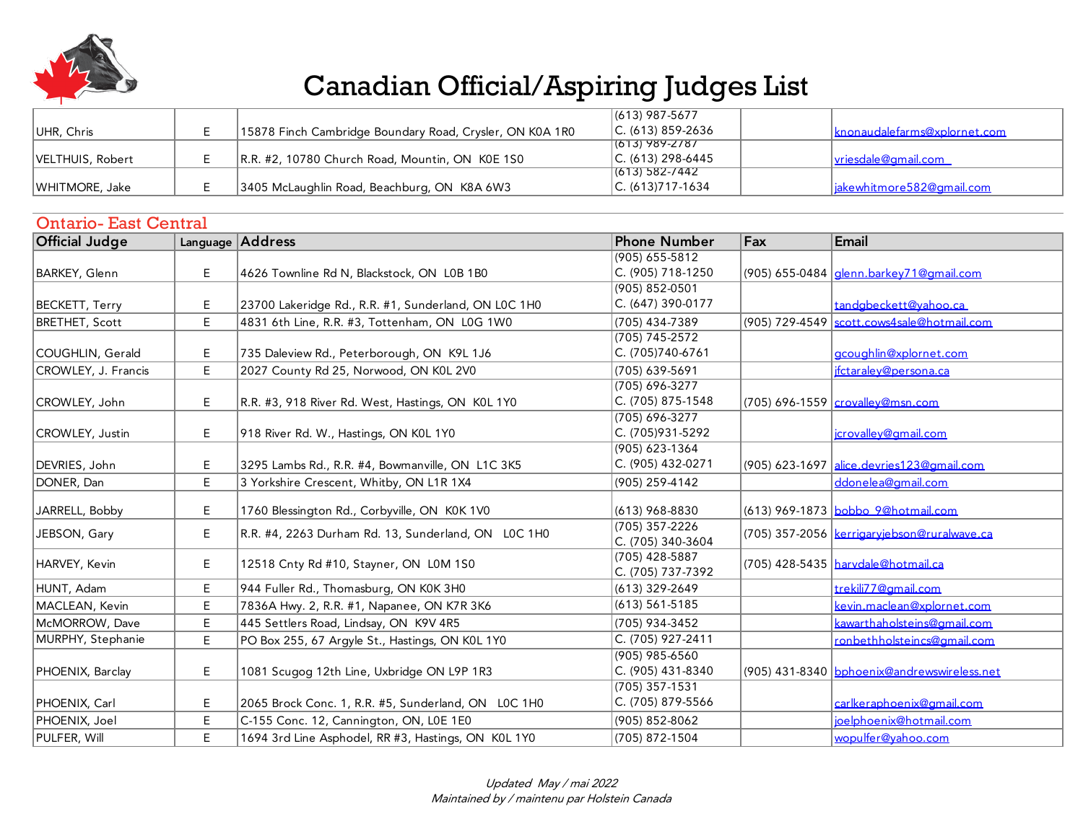

|                  |                                                          | $(613)$ 987-5677     |                               |
|------------------|----------------------------------------------------------|----------------------|-------------------------------|
| UHR, Chris       | 15878 Finch Cambridge Boundary Road, Crysler, ON K0A 1R0 | $ C. (613) 859-2636$ | Iknonaudalefarms@xplornet.com |
|                  |                                                          | 1(613) 989-2787      |                               |
| VELTHUIS, Robert | R.R. #2, 10780 Church Road, Mountin, ON K0E 1S0          | $ C. (613) 298-6445$ | <u>lyriesdale@gmail.com</u>   |
|                  |                                                          | 1(613) 582-7442      |                               |
| WHITMORE, Jake   | 3405 McLaughlin Road, Beachburg, ON K8A 6W3              | $ C. (613)717-1634$  | liakewhitmore582@amail.com    |

| <b>Ontario-East Central</b> |    |                                                      |                                     |     |                                               |  |  |
|-----------------------------|----|------------------------------------------------------|-------------------------------------|-----|-----------------------------------------------|--|--|
| <b>Official Judge</b>       |    | Language Address                                     | <b>Phone Number</b>                 | Fax | Email                                         |  |  |
|                             |    |                                                      | $(905) 655 - 5812$                  |     |                                               |  |  |
| <b>BARKEY, Glenn</b>        | Е  | 4626 Townline Rd N, Blackstock, ON L0B 1B0           | C. (905) 718-1250                   |     | (905) 655-0484 denn.barkey71@gmail.com        |  |  |
|                             |    |                                                      | (905) 852-0501                      |     |                                               |  |  |
| <b>BECKETT, Terry</b>       | Е  | 23700 Lakeridge Rd., R.R. #1, Sunderland, ON L0C 1H0 | C. (647) 390-0177                   |     | tandabeckett@vahoo.ca                         |  |  |
| <b>BRETHET, Scott</b>       | E  | 4831 6th Line, R.R. #3, Tottenham, ON L0G 1W0        | (705) 434-7389                      |     | (905) 729-4549   scott.cows4sale@hotmail.com  |  |  |
|                             |    |                                                      | $(705) 745 - 2572$                  |     |                                               |  |  |
| COUGHLIN, Gerald            | Е  | 735 Daleview Rd., Peterborough, ON K9L 1J6           | C. (705)740-6761                    |     | gcoughlin@xplornet.com                        |  |  |
| CROWLEY, J. Francis         | E  | 2027 County Rd 25, Norwood, ON K0L 2V0               | (705) 639-5691                      |     | ifctaralev@persona.ca                         |  |  |
|                             |    |                                                      | $(705) 696 - 3277$                  |     |                                               |  |  |
| CROWLEY, John               | E. | R.R. #3, 918 River Rd. West, Hastings, ON K0L 1Y0    | C. (705) 875-1548                   |     | (705) 696-1559 crovallev@msn.com              |  |  |
|                             |    |                                                      | (705) 696-3277                      |     |                                               |  |  |
| CROWLEY, Justin             | Ε  | 918 River Rd. W., Hastings, ON K0L 1Y0               | C. (705)931-5292                    |     | icrovallev@gmail.com                          |  |  |
|                             |    |                                                      | (905) 623-1364                      |     |                                               |  |  |
| DEVRIES, John               | E  | 3295 Lambs Rd., R.R. #4, Bowmanville, ON L1C 3K5     | C. (905) 432-0271                   |     | (905) 623-1697 alice.devries123@amail.com     |  |  |
| DONER, Dan                  | E  | 3 Yorkshire Crescent, Whitby, ON L1R 1X4             | (905) 259-4142                      |     | ddonelea@amail.com                            |  |  |
| JARRELL, Bobby              | E. | 1760 Blessington Rd., Corbyville, ON K0K 1V0         | (613) 968-8830                      |     | (613) 969-1873 bobbo 9@hotmail.com            |  |  |
| JEBSON, Gary                | Е  | R.R. #4, 2263 Durham Rd. 13, Sunderland, ON LOC 1H0  | (705) 357-2226<br>C. (705) 340-3604 |     | (705) 357-2056   kerrigarviebson@ruralwave.ca |  |  |
| HARVEY, Kevin               | Е  | 12518 Cnty Rd #10, Stayner, ON L0M 1S0               | (705) 428-5887<br>C. (705) 737-7392 |     | (705) 428-5435 <u> harvdale@hotmail.ca</u>    |  |  |
| HUNT, Adam                  | E. | 944 Fuller Rd., Thomasburg, ON K0K 3H0               | (613) 329-2649                      |     | trekili77@amail.com                           |  |  |
| MACLEAN, Kevin              | E  | 7836A Hwy. 2, R.R. #1, Napanee, ON K7R 3K6           | $(613) 561 - 5185$                  |     | kevin.maclean@xplornet.com                    |  |  |
| McMORROW, Dave              | E  | 445 Settlers Road, Lindsay, ON K9V 4R5               | (705) 934-3452                      |     | kawarthaholsteins@gmail.com                   |  |  |
| MURPHY, Stephanie           | E. | PO Box 255, 67 Argyle St., Hastings, ON K0L 1Y0      | C. (705) 927-2411                   |     | ronbethholsteincs@amail.com                   |  |  |
|                             |    |                                                      | $(905)$ 985-6560                    |     |                                               |  |  |
| PHOENIX, Barclay            | E. | 1081 Scugog 12th Line, Uxbridge ON L9P 1R3           | C. (905) 431-8340                   |     | (905) 431-8340 bphoenix@andrewswireless.net   |  |  |
|                             |    |                                                      | $(705)$ 357-1531                    |     |                                               |  |  |
| PHOENIX, Carl               | E  | 2065 Brock Conc. 1, R.R. #5, Sunderland, ON LOC 1H0  | C. (705) 879-5566                   |     | carlkeraphoenix@gmail.com                     |  |  |
| PHOENIX, Joel               | Е  | C-155 Conc. 12, Cannington, ON, L0E 1E0              | (905) 852-8062                      |     | joelphoenix@hotmail.com                       |  |  |
| PULFER, Will                | E  | 1694 3rd Line Asphodel, RR #3, Hastings, ON K0L 1Y0  | (705) 872-1504                      |     | wopulfer@vahoo.com                            |  |  |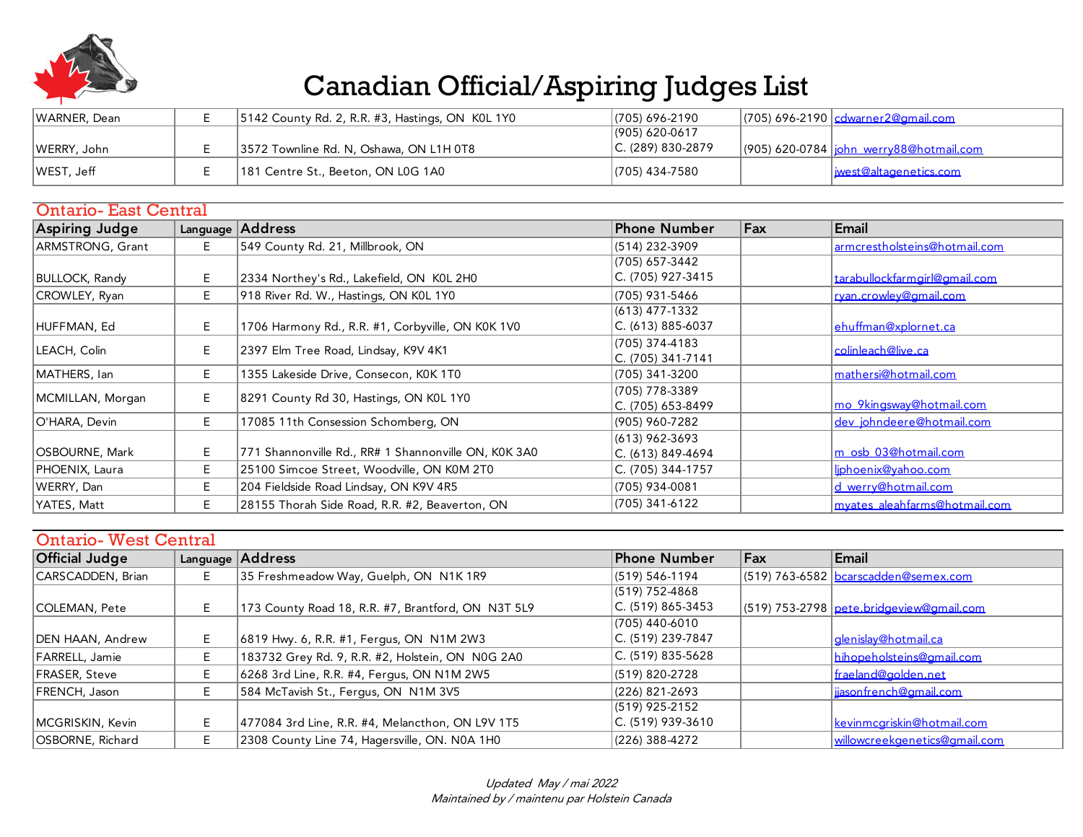

| WARNER, Dean | 5142 County Rd. 2, R.R. #3, Hastings, ON KOL 1Y0 | (705) 696-2190       | . (705) 696-2190 cdwarner2@gmail.com              |
|--------------|--------------------------------------------------|----------------------|---------------------------------------------------|
|              |                                                  | $(905) 620 - 0617$   |                                                   |
| WERRY, John  | 3572 Townline Rd. N, Oshawa, ON L1H 0T8          | $ C. (289) 830-2879$ | . (905) 620-0784 <u> iohn_werry88@hotmail.com</u> |
| WEST, Jeff   | 181 Centre St., Beeton, ON L0G 1A0               | $ (705)$ 434-7580    | liwest@altagenetics.com                           |

| <b>Ontario-East Central</b> |    |                                                      |                     |     |                               |  |
|-----------------------------|----|------------------------------------------------------|---------------------|-----|-------------------------------|--|
| <b>Aspiring Judge</b>       |    | Language Address                                     | <b>Phone Number</b> | Fax | Email                         |  |
| ARMSTRONG, Grant            | Е. | 549 County Rd. 21, Millbrook, ON                     | (514) 232-3909      |     | armcrestholsteins@hotmail.com |  |
|                             |    |                                                      | (705) 657-3442      |     |                               |  |
| BULLOCK, Randy              | Е  | 2334 Northey's Rd., Lakefield, ON K0L 2H0            | C. (705) 927-3415   |     | tarabullockfarmgirl@gmail.com |  |
| CROWLEY, Ryan               | E. | 918 River Rd. W., Hastings, ON K0L 1Y0               | (705) 931-5466      |     | ryan.crowley@gmail.com        |  |
|                             |    |                                                      | (613) 477-1332      |     |                               |  |
| HUFFMAN, Ed                 | Е. | 1706 Harmony Rd., R.R. #1, Corbyville, ON K0K 1V0    | C. (613) 885-6037   |     | ehuffman@xplornet.ca          |  |
| LEACH, Colin                | Е  | 2397 Elm Tree Road, Lindsay, K9V 4K1                 | (705) 374-4183      |     | colinleach@live.ca            |  |
|                             |    |                                                      | C. (705) 341-7141   |     |                               |  |
| MATHERS, lan                | E. | 1355 Lakeside Drive, Consecon, K0K 1T0               | (705) 341-3200      |     | mathersi@hotmail.com          |  |
| MCMILLAN, Morgan            | Е  | 8291 County Rd 30, Hastings, ON K0L 1Y0              | (705) 778-3389      |     |                               |  |
|                             |    |                                                      | C. (705) 653-8499   |     | mo 9kingsway@hotmail.com      |  |
| O'HARA, Devin               | Е. | 17085 11th Consession Schomberg, ON                  | (905) 960-7282      |     | dev johndeere@hotmail.com     |  |
|                             |    |                                                      | (613) 962-3693      |     |                               |  |
| OSBOURNE, Mark              | E. | 771 Shannonville Rd., RR# 1 Shannonville ON, K0K 3A0 | C. (613) 849-4694   |     | m osb 03@hotmail.com          |  |
| PHOENIX, Laura              | E. | 25100 Simcoe Street, Woodville, ON K0M 2T0           | C. (705) 344-1757   |     | liphoenix@vahoo.com           |  |
| WERRY, Dan                  | E. | 204 Fieldside Road Lindsay, ON K9V 4R5               | (705) 934-0081      |     | d werry@hotmail.com           |  |
| YATES, Matt                 | E. | 28155 Thorah Side Road, R.R. #2, Beaverton, ON       | (705) 341-6122      |     | myates_aleahfarms@hotmail.com |  |

| <b>Ontario-West Central</b> |    |                                                    |                      |     |                                          |  |  |
|-----------------------------|----|----------------------------------------------------|----------------------|-----|------------------------------------------|--|--|
| Official Judge              |    | Language Address                                   | Phone Number         | Fax | Email                                    |  |  |
| CARSCADDEN, Brian           | E. | 35 Freshmeadow Way, Guelph, ON N1K 1R9             | (519) 546-1194       |     | (519) 763-6582 bcarscadden@semex.com     |  |  |
|                             |    |                                                    | (519) 752-4868       |     |                                          |  |  |
| COLEMAN, Pete               | E. | 173 County Road 18, R.R. #7, Brantford, ON N3T 5L9 | $ C. (519) 865-3453$ |     | (519) 753-2798 pete.bridgeview@gmail.com |  |  |
|                             |    |                                                    | (705) 440-6010       |     |                                          |  |  |
| DEN HAAN, Andrew            | E. | 6819 Hwy. 6, R.R. #1, Fergus, ON N1M 2W3           | C. (519) 239-7847    |     | denislav@hotmail.ca                      |  |  |
| FARRELL, Jamie              | E. | 183732 Grey Rd. 9, R.R. #2, Holstein, ON N0G 2A0   | C. (519) 835-5628    |     | hihopeholsteins@gmail.com                |  |  |
| FRASER, Steve               | E. | 6268 3rd Line, R.R. #4, Fergus, ON N1M 2W5         | $(519) 820 - 2728$   |     | fraeland@golden.net                      |  |  |
| FRENCH, Jason               | E. | 584 McTavish St., Fergus, ON N1M 3V5               | (226) 821-2693       |     | iiasonfrench@gmail.com                   |  |  |
|                             |    |                                                    | $(519)$ 925-2152     |     |                                          |  |  |
| MCGRISKIN, Kevin            | E. | 477084 3rd Line, R.R. #4, Melancthon, ON L9V 1T5   | C. (519) 939-3610    |     | kevinmcariskin@hotmail.com               |  |  |
| OSBORNE, Richard            | E. | 2308 County Line 74, Hagersville, ON. N0A 1H0      | (226) 388-4272       |     | <u>willowcreekaenetics@amail.com</u>     |  |  |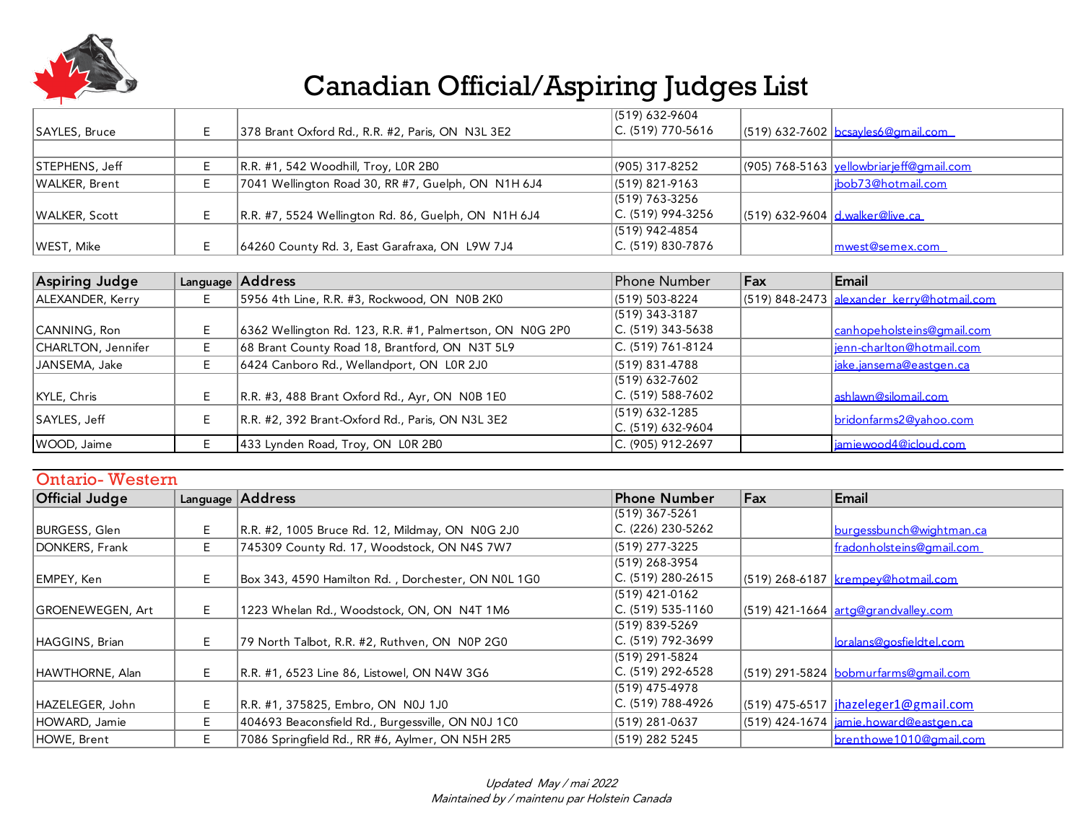

|                |                                                     | $(519) 632 - 9604$ |                                                   |
|----------------|-----------------------------------------------------|--------------------|---------------------------------------------------|
| SAYLES, Bruce  | 378 Brant Oxford Rd., R.R. #2, Paris, ON N3L 3E2    | C. (519) 770-5616  | $(519)$ 632-7602 bcsayles6@gmail.com              |
|                |                                                     |                    |                                                   |
| STEPHENS, Jeff | R.R. #1, 542 Woodhill, Troy, L0R 2B0                | (905) 317-8252     | $(905)$ 768-5163 <u>yellowbriarjeff@gmail.com</u> |
| WALKER, Brent  | 7041 Wellington Road 30, RR #7, Guelph, ON N1H 6J4  | $(519)$ 821-9163   | bob73@hotmail.com                                 |
|                |                                                     | $(519)$ 763-3256   |                                                   |
| WALKER, Scott  | R.R. #7, 5524 Wellington Rd. 86, Guelph, ON N1H 6J4 | C. (519) 994-3256  | $(519)$ 632-9604 $d$ walker@live.ca               |
|                |                                                     | $(519)$ 942-4854   |                                                   |
| WEST, Mike     | 64260 County Rd. 3, East Garafraxa, ON L9W 7J4      | C. (519) 830-7876  | mwest@semex.com                                   |

| Aspiring Judge     |   | Language Address                                         | Phone Number                        | Fax | Email                                      |
|--------------------|---|----------------------------------------------------------|-------------------------------------|-----|--------------------------------------------|
| ALEXANDER, Kerry   |   | 5956 4th Line, R.R. #3, Rockwood, ON N0B 2K0             | (519) 503-8224                      |     | (519) 848-2473 alexander_kerry@hotmail.com |
|                    |   |                                                          | (519) 343-3187                      |     |                                            |
| CANNING, Ron       |   | 6362 Wellington Rd. 123, R.R. #1, Palmertson, ON N0G 2P0 | C. (519) 343-5638                   |     | canhopeholsteins@amail.com                 |
| CHARLTON, Jennifer |   | 68 Brant County Road 18, Brantford, ON N3T 5L9           | C. (519) 761-8124                   |     | ienn-charlton@hotmail.com                  |
| JANSEMA, Jake      |   | 6424 Canboro Rd., Wellandport, ON LOR 2J0                | (519) 831-4788                      |     | iake.iansema@eastgen.ca                    |
|                    |   |                                                          | (519) 632-7602                      |     |                                            |
| KYLE, Chris        | F | R.R. #3, 488 Brant Oxford Rd., Ayr, ON N0B 1E0           | C. (519) 588-7602                   |     | ashlawn@silomail.com                       |
| SAYLES, Jeff       |   | R.R. #2, 392 Brant-Oxford Rd., Paris, ON N3L 3E2         | (519) 632-1285<br>C. (519) 632-9604 |     | bridonfarms2@vahoo.com                     |
| WOOD, Jaime        |   | 433 Lynden Road, Troy, ON LOR 2B0                        | C. (905) 912-2697                   |     | jamiewood4@icloud.com                      |

#### Ontario- Western

| <b>Official Judge</b> |    | Language Address                                   | <b>Phone Number</b>   | Fax | Email                                        |
|-----------------------|----|----------------------------------------------------|-----------------------|-----|----------------------------------------------|
|                       |    |                                                    | (519) 367-5261        |     |                                              |
| BURGESS, Glen         | E  | R.R. #2, 1005 Bruce Rd. 12, Mildmay, ON N0G 2J0    | $C. (226) 230 - 5262$ |     | burgessbunch@wightman.ca                     |
| DONKERS, Frank        | E. | 745309 County Rd. 17, Woodstock, ON N4S 7W7        | (519) 277-3225        |     | fradonholsteins@gmail.com                    |
|                       |    |                                                    | (519) 268-3954        |     |                                              |
| EMPEY, Ken            | E. | Box 343, 4590 Hamilton Rd., Dorchester, ON N0L 1G0 | $C. (519)$ 280-2615   |     | (519) 268-6187 <u>krempev@hotmail.com</u>    |
|                       |    |                                                    | (519) 421-0162        |     |                                              |
| GROENEWEGEN, Art      | E. | 1223 Whelan Rd., Woodstock, ON, ON N4T 1M6         | $C. (519) 535-1160$   |     | (519) 421-1664 arta@arandvalley.com          |
|                       |    |                                                    | (519) 839-5269        |     |                                              |
| HAGGINS, Brian        | E. | 79 North Talbot, R.R. #2, Ruthven, ON N0P 2G0      | $C. (519) 792-3699$   |     | <u>loralans@gosfieldtel.com</u>              |
|                       |    |                                                    | (519) 291-5824        |     |                                              |
| HAWTHORNE, Alan       | Е  | R.R. #1, 6523 Line 86, Listowel, ON N4W 3G6        | $C. (519) 292-6528$   |     | (519) 291-5824 bobmurfarms@amail.com         |
|                       |    |                                                    | (519) 475-4978        |     |                                              |
| HAZELEGER, John       | E  | R.R. #1, 375825, Embro, ON N0J 1J0                 | $C. (519)$ 788-4926   |     | (519) 475-6517   jhazeleger1@gmail.com       |
| HOWARD, Jamie         | E. | 404693 Beaconsfield Rd., Burgessville, ON N0J 1C0  | (519) 281-0637        |     | $(519)$ 424-1674 $ $ jamie.howard@eastgen.ca |
| HOWE, Brent           | E  | 7086 Springfield Rd., RR #6, Aylmer, ON N5H 2R5    | (519) 282 5245        |     | brenthowe1010@amail.com                      |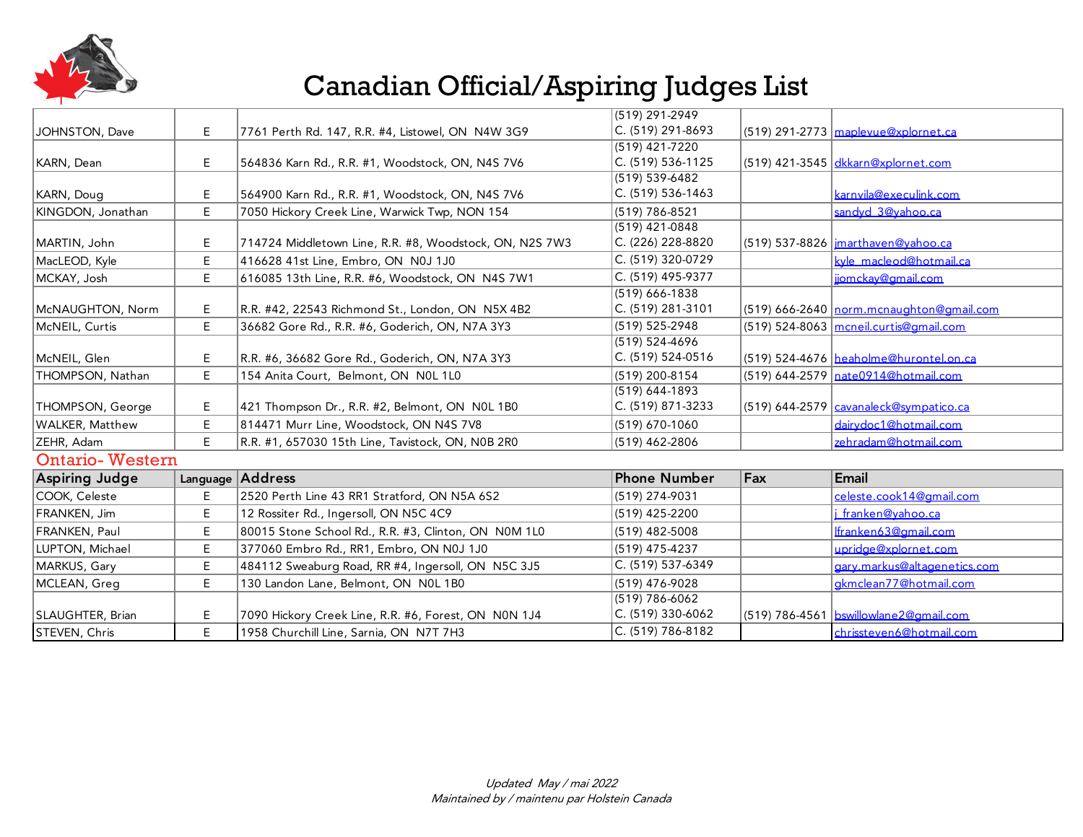

|                        |    |                                                         | (519) 291-2949      |     |                                              |
|------------------------|----|---------------------------------------------------------|---------------------|-----|----------------------------------------------|
| JOHNSTON, Dave         | E  | 7761 Perth Rd. 147, R.R. #4, Listowel, ON N4W 3G9       | $C. (519) 291-8693$ |     | $(519)$ 291-2773 maplevue@xplornet.ca        |
|                        |    |                                                         | (519) 421-7220      |     |                                              |
| KARN, Dean             | E. | 564836 Karn Rd., R.R. #1, Woodstock, ON, N4S 7V6        | C. (519) 536-1125   |     | (519) 421-3545 dkkarn@xplornet.com           |
|                        |    |                                                         | (519) 539-6482      |     |                                              |
| KARN, Doug             | E  | 564900 Karn Rd., R.R. #1, Woodstock, ON, N4S 7V6        | C. (519) 536-1463   |     | karnvila@execulink.com                       |
| KINGDON, Jonathan      | E  | 7050 Hickory Creek Line, Warwick Twp, NON 154           | (519) 786-8521      |     | sandyd 3@vahoo.ca                            |
|                        |    |                                                         | (519) 421-0848      |     |                                              |
| MARTIN, John           | Е  | 714724 Middletown Line, R.R. #8, Woodstock, ON, N2S 7W3 | C. (226) 228-8820   |     | (519) 537-8826   imarthaven@vahoo.ca         |
| MacLEOD, Kyle          | E  | 416628 41st Line, Embro, ON N0J 1J0                     | $C. (519)$ 320-0729 |     | kvle macleod@hotmail.ca                      |
| MCKAY, Josh            | E  | 616085 13th Line, R.R. #6, Woodstock, ON N4S 7W1        | C. (519) 495-9377   |     | jiomckav@gmail.com                           |
|                        |    |                                                         | (519) 666-1838      |     |                                              |
| McNAUGHTON, Norm       | Е  | R.R. #42, 22543 Richmond St., London, ON N5X 4B2        | $C. (519)$ 281-3101 |     | $(519)$ 666-2640   norm.mcnaughton@gmail.com |
| McNEIL, Curtis         | E  | 36682 Gore Rd., R.R. #6, Goderich, ON, N7A 3Y3          | (519) 525-2948      |     | $(519)$ 524-8063 mcneil.curtis@amail.com     |
|                        |    |                                                         | (519) 524-4696      |     |                                              |
| McNEIL, Glen           | Е  | R.R. #6, 36682 Gore Rd., Goderich, ON, N7A 3Y3          | $C. (519) 524-0516$ |     | (519) 524-4676 heaholme@hurontel.on.ca       |
| THOMPSON, Nathan       | E. | 154 Anita Court, Belmont, ON NOL 1L0                    | (519) 200-8154      |     | (519) 644-2579 nate0914@hotmail.com          |
|                        |    |                                                         | (519) 644-1893      |     |                                              |
| THOMPSON, George       | Е  | 421 Thompson Dr., R.R. #2, Belmont, ON NOL 1B0          | C. (519) 871-3233   |     | (519) 644-2579   cavanaleck@sympatico.ca     |
| <b>WALKER, Matthew</b> | E  | 814471 Murr Line, Woodstock, ON N4S 7V8                 | (519) 670-1060      |     | dairydoc1@hotmail.com                        |
| ZEHR, Adam             | E  | R.R. #1, 657030 15th Line, Tavistock, ON, N0B 2R0       | (519) 462-2806      |     | zehradam@hotmail.com                         |
| <b>Ontario-Western</b> |    |                                                         |                     |     |                                              |
| <b>Aspiring Judge</b>  |    | Language Address                                        | <b>Phone Number</b> | Fax | Email                                        |
| COOK, Celeste          | E. | 2520 Perth Line 43 RR1 Stratford, ON N5A 6S2            | (519) 274-9031      |     | celeste.cook14@amail.com                     |
| FRANKEN, Jim           | E  | 12 Rossiter Rd., Ingersoll, ON N5C 4C9                  | (519) 425-2200      |     | i franken@vahoo.ca                           |
| FRANKEN, Paul          | E  | 80015 Stone School Rd., R.R. #3, Clinton, ON N0M 1L0    | $(519)$ 482-5008    |     | Ifranken63@gmail.com                         |
| LUPTON, Michael        | E  | 377060 Embro Rd., RR1, Embro, ON N0J 1J0                | (519) 475-4237      |     | upridge@xplornet.com                         |
| MARKUS, Gary           | E  | 484112 Sweaburg Road, RR #4, Ingersoll, ON N5C 3J5      | C. (519) 537-6349   |     | garv.markus@altagenetics.com                 |
| MCLEAN, Greg           | E. | 130 Landon Lane, Belmont, ON NOL 1B0                    | (519) 476-9028      |     | gkmclean77@hotmail.com                       |
|                        |    |                                                         | (519) 786-6062      |     |                                              |
| SLAUGHTER, Brian       | Е  | 7090 Hickory Creek Line, R.R. #6, Forest, ON N0N 1J4    | C. (519) 330-6062   |     | (519) 786-4561   bswillowlane2@amail.com     |
| STEVEN, Chris          | E. | 1958 Churchill Line, Sarnia, ON N7T 7H3                 | C. (519) 786-8182   |     | chrissteven6@hotmail.com                     |
|                        |    |                                                         |                     |     |                                              |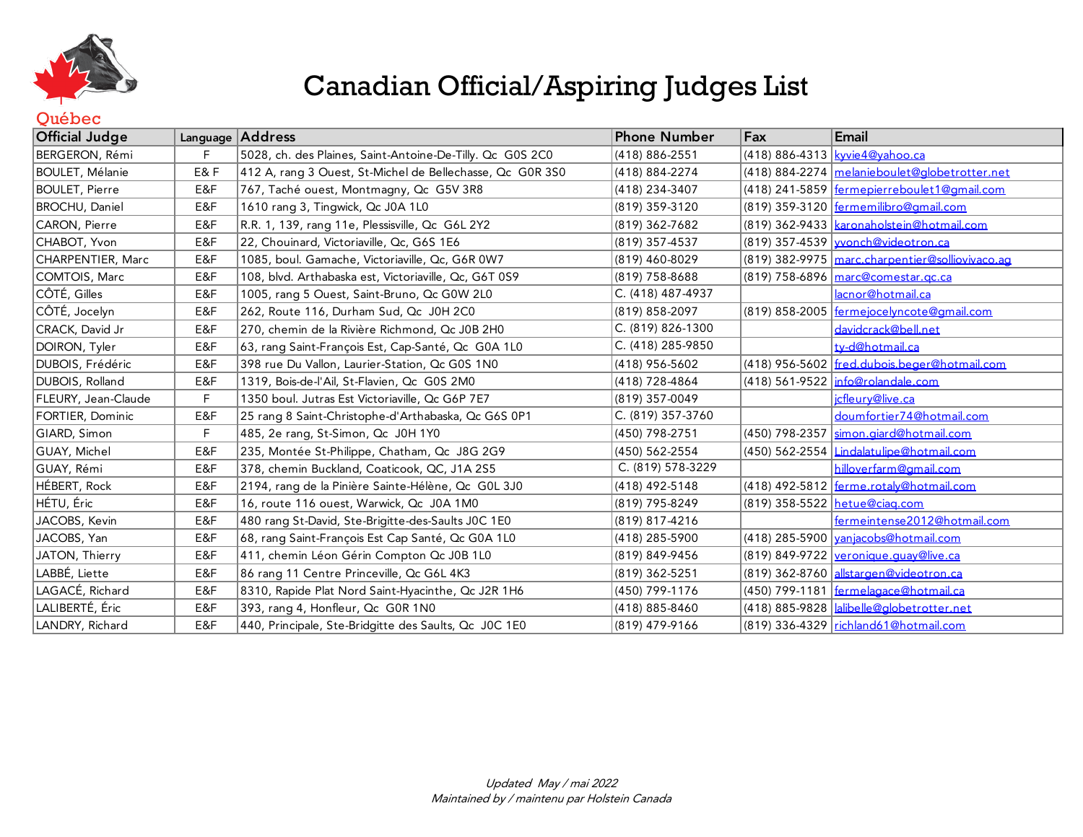

#### **Ouébec**

| <b>Official Judge</b> |     | Language Address                                          | <b>Phone Number</b> | Fax            | Email                                            |
|-----------------------|-----|-----------------------------------------------------------|---------------------|----------------|--------------------------------------------------|
| BERGERON, Rémi        | F   | 5028, ch. des Plaines, Saint-Antoine-De-Tilly. Qc G0S 2C0 | (418) 886-2551      |                | (418) 886-4313 <u>kyvie4@vahoo.ca</u>            |
| BOULET, Mélanie       | E&F | 412 A, rang 3 Ouest, St-Michel de Bellechasse, Qc G0R 3S0 | (418) 884-2274      |                | (418) 884-2274 melanieboulet@globetrotter.net    |
| <b>BOULET, Pierre</b> | E&F | 767, Taché ouest, Montmagny, Qc G5V 3R8                   | (418) 234-3407      |                | (418) 241-5859 fermepierreboulet1@amail.com      |
| <b>BROCHU, Daniel</b> | E&F | 1610 rang 3, Tingwick, Qc J0A 1L0                         | (819) 359-3120      |                | (819) 359-3120   fermemilibro@amail.com          |
| CARON, Pierre         | E&F | R.R. 1, 139, rang 11e, Plessisville, Qc G6L 2Y2           | (819) 362-7682      |                | (819) 362-9433   karonaholstein@hotmail.com      |
| CHABOT, Yvon          | E&F | 22, Chouinard, Victoriaville, Qc, G6S 1E6                 | (819) 357-4537      |                | (819) 357-4539 vonch@videotron.ca                |
| CHARPENTIER, Marc     | E&F | 1085, boul. Gamache, Victoriaville, Qc, G6R 0W7           | (819) 460-8029      |                | (819) 382-9975 marc.charpentier@solliovivaco.ag  |
| COMTOIS, Marc         | E&F | 108, blvd. Arthabaska est, Victoriaville, Qc, G6T 0S9     | (819) 758-8688      |                | (819) 758-6896 marc@comestar.gc.ca               |
| CÔTÉ, Gilles          | E&F | 1005, rang 5 Ouest, Saint-Bruno, Oc G0W 2L0               | C. (418) 487-4937   |                | lacnor@hotmail.ca                                |
| CÔTÉ, Jocelyn         | E&F | 262, Route 116, Durham Sud, Qc J0H 2C0                    | (819) 858-2097      |                | (819) 858-2005 <u>fermeiocelyncote@amail.com</u> |
| CRACK, David Jr       | E&F | 270, chemin de la Rivière Richmond, Qc J0B 2H0            | C. (819) 826-1300   |                | davidcrack@bell.net                              |
| DOIRON, Tyler         | E&F | 63, rang Saint-François Est, Cap-Santé, Qc G0A 1L0        | C. (418) 285-9850   |                | tv-d@hotmail.ca                                  |
| DUBOIS, Frédéric      | E&F | 398 rue Du Vallon, Laurier-Station, Oc G0S 1N0            | (418) 956-5602      |                | (418) 956-5602 fred.dubois.beger@hotmail.com     |
| DUBOIS, Rolland       | E&F | 1319, Bois-de-l'Ail, St-Flavien, Qc G0S 2M0               | (418) 728-4864      |                | (418) 561-9522   info@rolandale.com              |
| FLEURY, Jean-Claude   | F   | 1350 boul. Jutras Est Victoriaville, Qc G6P 7E7           | (819) 357-0049      |                | icfleurv@live.ca                                 |
| FORTIER, Dominic      | E&F | 25 rang 8 Saint-Christophe-d'Arthabaska, Qc G6S 0P1       | C. (819) 357-3760   |                | doumfortier74@hotmail.com                        |
| GIARD, Simon          | F.  | 485, 2e rang, St-Simon, Qc J0H 1Y0                        | (450) 798-2751      | (450) 798-2357 | simon.giard@hotmail.com                          |
| GUAY, Michel          | E&F | 235, Montée St-Philippe, Chatham, Qc J8G 2G9              | (450) 562-2554      |                | (450) 562-2554 Lindalatulipe@hotmail.com         |
| GUAY, Rémi            | E&F | 378, chemin Buckland, Coaticook, QC, J1A 2S5              | C. (819) 578-3229   |                | hilloverfarm@gmail.com                           |
| HÉBERT, Rock          | E&F | 2194, rang de la Pinière Sainte-Hélène, Qc GOL 3J0        | (418) 492-5148      |                | (418) 492-5812 <u>ferme.rotalv@hotmail.com</u>   |
| HÉTU, Éric            | E&F | 16, route 116 ouest, Warwick, Qc J0A 1M0                  | (819) 795-8249      |                | (819) 358-5522   hetue@ciag.com                  |
| JACOBS, Kevin         | E&F | 480 rang St-David, Ste-Brigitte-des-Saults JOC 1E0        | (819) 817-4216      |                | fermeintense2012@hotmail.com                     |
| JACOBS, Yan           | E&F | 68, rang Saint-François Est Cap Santé, Qc G0A 1L0         | (418) 285-5900      |                | (418) 285-5900 <u>vanjacobs@hotmail.com</u>      |
| JATON, Thierry        | E&F | 411, chemin Léon Gérin Compton Qc J0B 1L0                 | (819) 849-9456      |                | (819) 849-9722 veronique.guay@live.ca            |
| LABBÉ, Liette         | E&F | 86 rang 11 Centre Princeville, Qc G6L 4K3                 | (819) 362-5251      |                | (819) 362-8760 allstargen@videotron.ca           |
| LAGACÉ, Richard       | E&F | 8310, Rapide Plat Nord Saint-Hyacinthe, Qc J2R 1H6        | (450) 799-1176      |                | (450) 799-1181 fermelagace@hotmail.ca            |
| LALIBERTÉ, Éric       | E&F | 393, rang 4, Honfleur, Qc G0R 1N0                         | (418) 885-8460      |                | (418) 885-9828   alibelle@globetrotter.net       |
| LANDRY, Richard       | E&F | 440, Principale, Ste-Bridgitte des Saults, Qc J0C 1E0     | (819) 479-9166      |                | (819) 336-4329 richland61@hotmail.com            |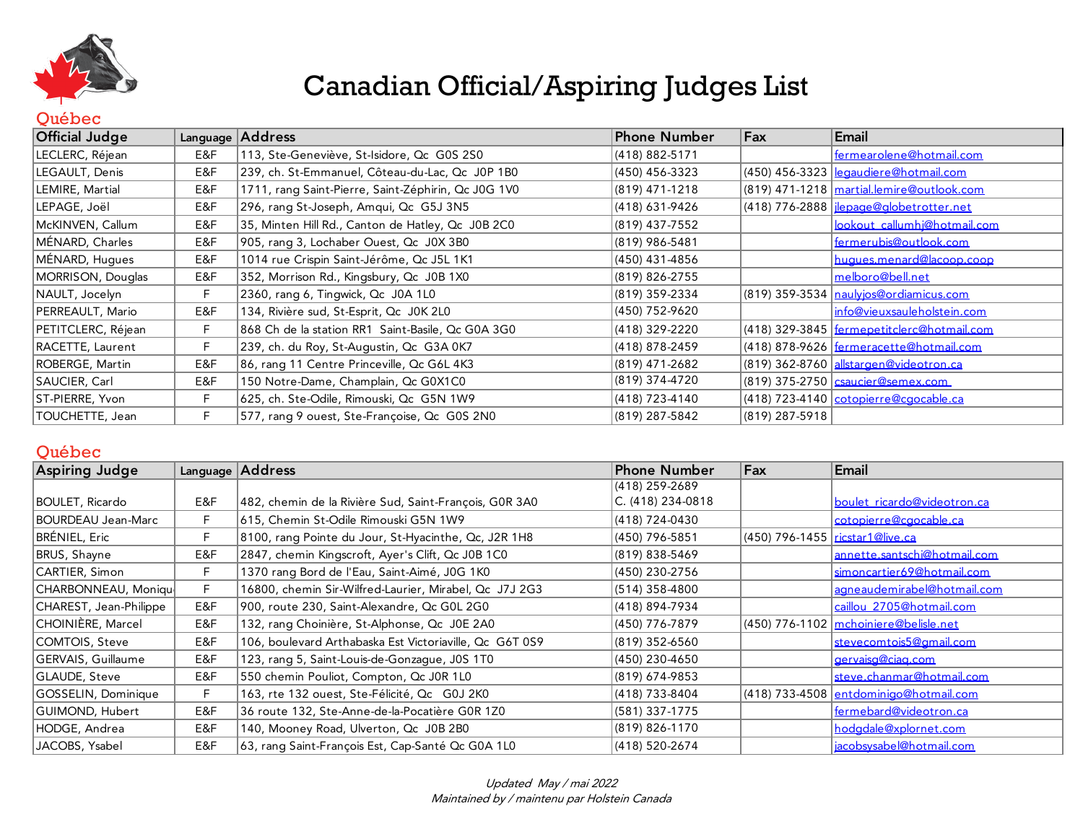

#### **Ouébec**

| <b>Official Judge</b> |     | Language Address                                    | Phone Number   | Fax            | Email                                                                           |
|-----------------------|-----|-----------------------------------------------------|----------------|----------------|---------------------------------------------------------------------------------|
| LECLERC, Réjean       | E&F | 113, Ste-Geneviève, St-Isidore, Qc G0S 2S0          | (418) 882-5171 |                | fermearolene@hotmail.com                                                        |
| LEGAULT, Denis        | E&F | 239, ch. St-Emmanuel, Côteau-du-Lac, Qc J0P 1B0     | (450) 456-3323 |                | (450) 456-3323 <u>legaudiere@hotmail.com</u>                                    |
| LEMIRE, Martial       | E&F | 1711, rang Saint-Pierre, Saint-Zéphirin, Qc J0G 1V0 | (819) 471-1218 |                | (819) 471-1218   martial.lemire@outlook.com                                     |
| LEPAGE, Joël          | E&F | 296, rang St-Joseph, Amqui, Qc G5J 3N5              | (418) 631-9426 |                | (418) 776-2888 <u>  jlepage@globetrotter.net</u>                                |
| McKINVEN, Callum      | E&F | 35, Minten Hill Rd., Canton de Hatley, Qc J0B 2C0   | (819) 437-7552 |                | lookout callumhi@hotmail.com                                                    |
| MÉNARD, Charles       | E&F | 905, rang 3, Lochaber Ouest, Qc J0X 3B0             | (819) 986-5481 |                | fermerubis@outlook.com                                                          |
| MÉNARD, Hugues        | E&F | 1014 rue Crispin Saint-Jérôme, Qc J5L 1K1           | (450) 431-4856 |                | hugues.menard@lacoop.coop                                                       |
| MORRISON, Douglas     | E&F | 352, Morrison Rd., Kingsbury, Qc J0B 1X0            | (819) 826-2755 |                | melboro@bell.net                                                                |
| NAULT, Jocelyn        | F.  | 2360, rang 6, Tingwick, Qc J0A 1L0                  | (819) 359-2334 |                | $(819)$ 359-3534 $n$ aulyjos@ordiamicus.com                                     |
| PERREAULT, Mario      | E&F | 134, Rivière sud, St-Esprit, Qc J0K 2L0             | (450) 752-9620 |                | info@vieuxsauleholstein.com                                                     |
| PETITCLERC, Réjean    | F.  | 868 Ch de la station RR1 Saint-Basile, Qc G0A 3G0   | (418) 329-2220 |                | (418) 329-3845   fermepetitclerc@hotmail.com                                    |
| RACETTE, Laurent      | F.  | 239, ch. du Roy, St-Augustin, Qc G3A 0K7            | (418) 878-2459 |                | (418) 878-9626 <u>fermeracette@hotmail.com</u>                                  |
| ROBERGE, Martin       | E&F | 86, rang 11 Centre Princeville, Qc G6L 4K3          | (819) 471-2682 |                | (819) 362-8760 alstargen@videotron.ca                                           |
| SAUCIER, Carl         | E&F | 150 Notre-Dame, Champlain, Qc G0X1C0                | (819) 374-4720 |                | (819) 375-2750 saucier@semex.com                                                |
| ST-PIERRE, Yvon       | F.  | 625, ch. Ste-Odile, Rimouski, Qc G5N 1W9            | (418) 723-4140 |                | $(418)$ 723-4140 $\sqrt{\text{cotopic} \cdot \text{cogocable} \cdot \text{ca}}$ |
| TOUCHETTE, Jean       | F.  | 577, rang 9 ouest, Ste-Françoise, Qc G0S 2N0        | (819) 287-5842 | (819) 287-5918 |                                                                                 |

#### Québec

| <b>Aspiring Judge</b>  |     | Language Address                                        | <b>Phone Number</b> | Fax                             | Email                                   |
|------------------------|-----|---------------------------------------------------------|---------------------|---------------------------------|-----------------------------------------|
|                        |     |                                                         | (418) 259-2689      |                                 |                                         |
| BOULET, Ricardo        | E&F | 482, chemin de la Rivière Sud, Saint-François, G0R 3A0  | C. (418) 234-0818   |                                 | boulet ricardo@videotron.ca             |
| BOURDEAU Jean-Marc     | F   | 615, Chemin St-Odile Rimouski G5N 1W9                   | (418) 724-0430      |                                 | cotopierre@caocable.ca                  |
| BRÉNIEL, Eric          | F   | 8100, rang Pointe du Jour, St-Hyacinthe, Qc, J2R 1H8    | (450) 796-5851      | (450) 796-1455 ricstar1@live.ca |                                         |
| BRUS, Shayne           | E&F | 2847, chemin Kingscroft, Ayer's Clift, Qc J0B 1C0       | (819) 838-5469      |                                 | annette.santschi@hotmail.com            |
| CARTIER, Simon         | F.  | 1370 rang Bord de l'Eau, Saint-Aimé, J0G 1K0            | (450) 230-2756      |                                 | simoncartier69@hotmail.com              |
| CHARBONNEAU, Moniqu    | F   | 16800, chemin Sir-Wilfred-Laurier, Mirabel, Qc J7J 2G3  | $(514)$ 358-4800    |                                 | agneaudemirabel@hotmail.com             |
| CHAREST, Jean-Philippe | E&F | 900, route 230, Saint-Alexandre, Qc G0L 2G0             | (418) 894-7934      |                                 | caillou 2705@hotmail.com                |
| CHOINIÈRE, Marcel      | E&F | 132, rang Choinière, St-Alphonse, Qc J0E 2A0            | (450) 776-7879      |                                 | $(450)$ 776-1102 mchoiniere@belisle.net |
| COMTOIS, Steve         | E&F | 106, boulevard Arthabaska Est Victoriaville, Qc G6T 0S9 | (819) 352-6560      |                                 | stevecomtois5@amail.com                 |
| GERVAIS, Guillaume     | E&F | 123, rang 5, Saint-Louis-de-Gonzague, J0S 1T0           | (450) 230-4650      |                                 | gervaisg@ciag.com                       |
| GLAUDE, Steve          | E&F | 550 chemin Pouliot, Compton, Qc J0R 1L0                 | (819) 674-9853      |                                 | steve.chanmar@hotmail.com               |
| GOSSELIN, Dominique    | F   | 163, rte 132 ouest, Ste-Félicité, Qc G0J 2K0            | (418) 733-8404      |                                 | (418) 733-4508 entdominigo@hotmail.com  |
| GUIMOND, Hubert        | E&F | 36 route 132, Ste-Anne-de-la-Pocatière G0R 1Z0          | (581) 337-1775      |                                 | fermebard@videotron.ca                  |
| HODGE, Andrea          | E&F | 140, Mooney Road, Ulverton, Qc J0B 2B0                  | $(819) 826 - 1170$  |                                 | hodadale@xplornet.com                   |
| JACOBS, Ysabel         | E&F | 63, rang Saint-François Est, Cap-Santé Qc G0A 1L0       | $(418) 520 - 2674$  |                                 | iacobsysabel@hotmail.com                |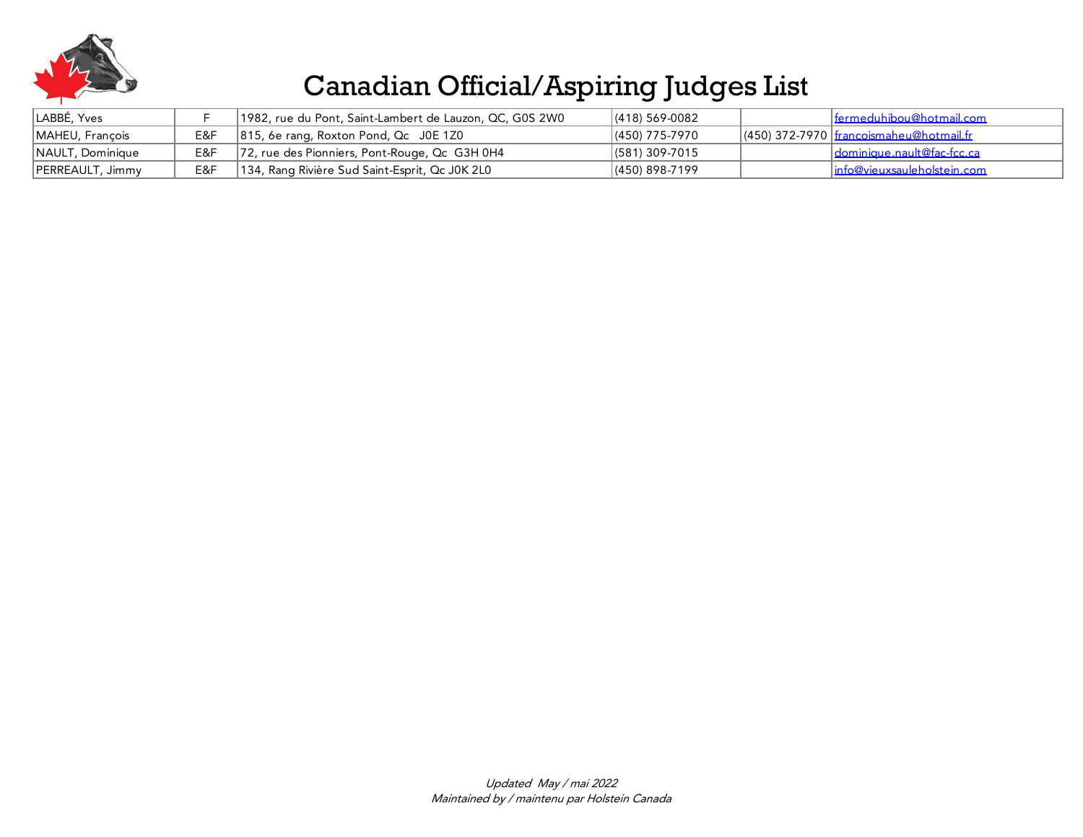

| LABBÉ, Yves      |     | 1982, rue du Pont, Saint-Lambert de Lauzon, QC, G0S 2W0 | $ (418) 569-0082$ | <u>  fermeduhibou@hotmail.com</u>           |
|------------------|-----|---------------------------------------------------------|-------------------|---------------------------------------------|
| MAHEU, François  | E&F | $ 815, 6e$ rang, Roxton Pond, Qc J0E 1Z0                | (450) 775-7970    | $(450)$ 372-7970 I francoismaheu@hotmail.fr |
| NAULT, Dominique | E&F | 72, rue des Pionniers, Pont-Rouge, Qc G3H 0H4           | $ (581)$ 309-7015 | I dominique.nault@fac-fcc.ca                |
| PERREAULT, Jimmy | E&F | 134, Rang Rivière Sud Saint-Esprit, Qc J0K 2L0          | $(450)$ 898-7199  | linfo@vieuxsauleholstein.com                |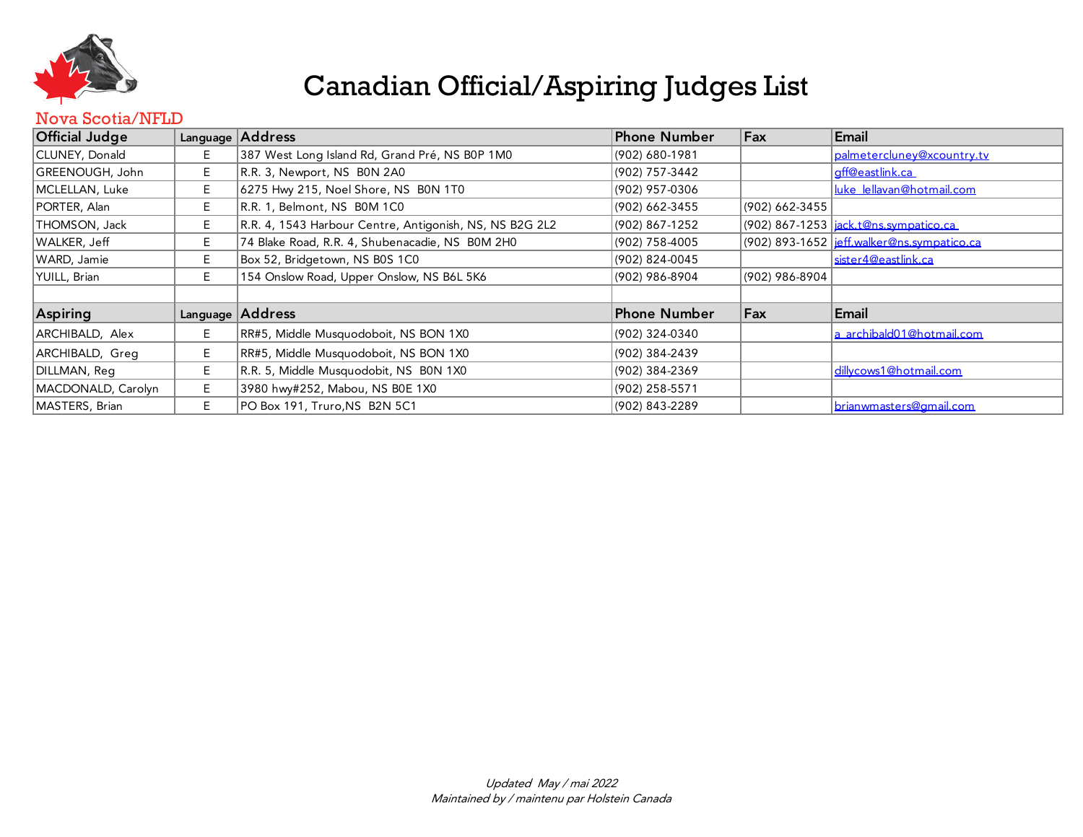

#### Nova Scotia/NFLD

| <b>Official Judge</b> |    | Language Address                                        | Phone Number   | Fax             | Email                                             |
|-----------------------|----|---------------------------------------------------------|----------------|-----------------|---------------------------------------------------|
| CLUNEY, Donald        | Е. | 387 West Long Island Rd, Grand Pré, NS B0P 1M0          | (902) 680-1981 |                 | palmetercluney@xcountry.tv                        |
| GREENOUGH, John       | E. | R.R. 3, Newport, NS B0N 2A0                             | (902) 757-3442 |                 | off@eastlink.ca                                   |
| MCLELLAN, Luke        | E. | 6275 Hwy 215, Noel Shore, NS B0N 1T0                    | (902) 957-0306 |                 | luke lellavan@hotmail.com                         |
| PORTER, Alan          | Е. | R.R. 1, Belmont, NS B0M 1C0                             | (902) 662-3455 | (902) 662-3455  |                                                   |
| THOMSON, Jack         | E  | R.R. 4, 1543 Harbour Centre, Antigonish, NS, NS B2G 2L2 | (902) 867-1252 |                 | (902) 867-1253 <u> jack.t@ns.sympatico.ca </u>    |
| WALKER, Jeff          | E. | 74 Blake Road, R.R. 4, Shubenacadie, NS BOM 2H0         | (902) 758-4005 |                 | (902) 893-1652 <u>jeff.walker@ns.sympatico.ca</u> |
| WARD, Jamie           | E. | Box 52, Bridgetown, NS B0S 1C0                          | (902) 824-0045 |                 | sister4@eastlink.ca                               |
| YUILL, Brian          | E. | 154 Onslow Road, Upper Onslow, NS B6L 5K6               | (902) 986-8904 | (902) 986-8904  |                                                   |
|                       |    |                                                         |                |                 |                                                   |
| Aspiring              |    | Language   Address                                      | Phone Number   | $\mathsf{F}$ ax | Email                                             |
| ARCHIBALD, Alex       | E. | RR#5, Middle Musquodoboit, NS BON 1X0                   | (902) 324-0340 |                 | a archibald01@hotmail.com                         |
| ARCHIBALD, Greg       | E  | RR#5, Middle Musquodoboit, NS BON 1X0                   | (902) 384-2439 |                 |                                                   |
| DILLMAN, Reg          | E. | R.R. 5, Middle Musquodobit, NS B0N 1X0                  | (902) 384-2369 |                 | dillycows1@hotmail.com                            |
| MACDONALD, Carolyn    | E. | 3980 hwy#252, Mabou, NS B0E 1X0                         | (902) 258-5571 |                 |                                                   |
| MASTERS, Brian        | E. | PO Box 191, Truro, NS B2N 5C1                           | (902) 843-2289 |                 | brianwmasters@gmail.com                           |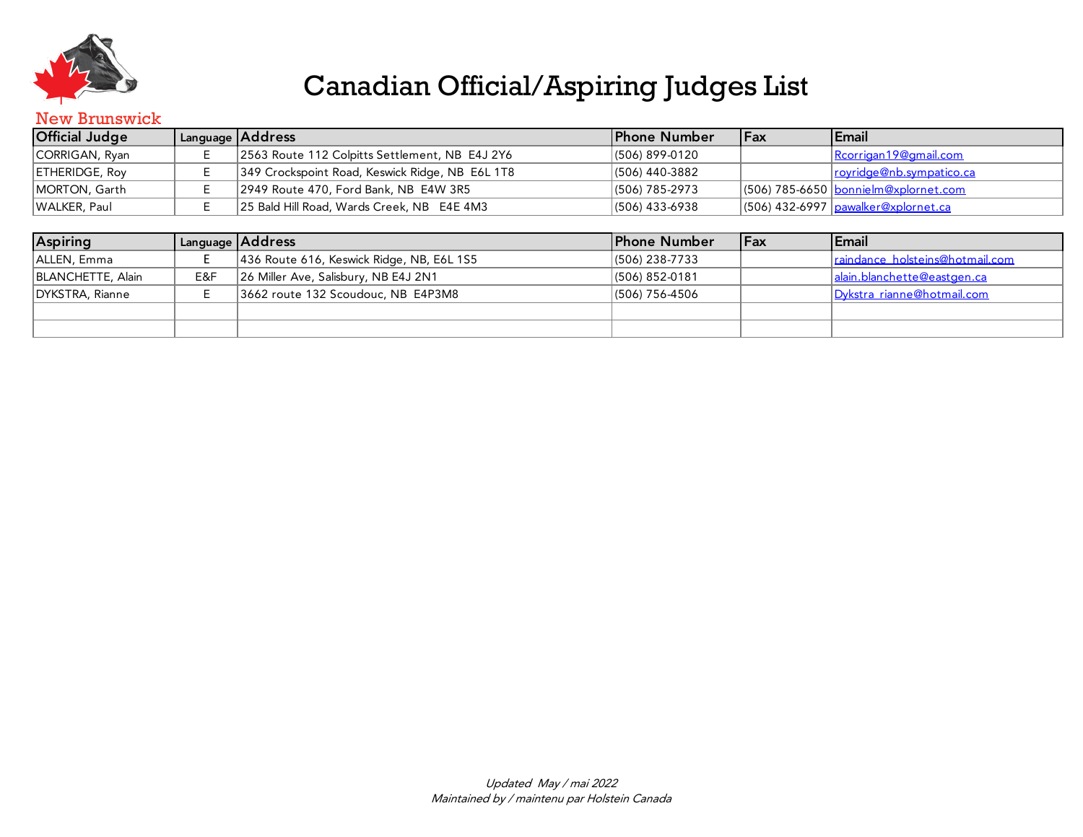

#### New Brunswick

| <b>Official Judge</b> |  | Language   Address                              | <b>Phone Number</b> | <b>IFax</b> | <b>Email</b>                                      |  |  |
|-----------------------|--|-------------------------------------------------|---------------------|-------------|---------------------------------------------------|--|--|
| CORRIGAN, Ryan        |  | 2563 Route 112 Colpitts Settlement, NB E4J 2Y6  | $(506) 899-0120$    |             | Rcorrigan 19@gmail.com                            |  |  |
| <b>ETHERIDGE, Roy</b> |  | 349 Crockspoint Road, Keswick Ridge, NB E6L 1T8 | (506) 440-3882      |             | rovridge@nb.sympatico.ca                          |  |  |
| MORTON, Garth         |  | 2949 Route 470, Ford Bank, NB E4W 3R5           | (506) 785-2973      |             | $(506)$ 785-6650 bonnielm@xplornet.com            |  |  |
| WALKER, Paul          |  | 25 Bald Hill Road, Wards Creek, NB E4E 4M3      | $(506)$ 433-6938    |             | $(506)$ 432-6997 $_{\text{pawalker@xplornet.ca}}$ |  |  |

| <b>Aspiring</b>   |     | Language Address                          | <b>Phone Number</b> | <b>IFax</b> | <b>Email</b>                    |
|-------------------|-----|-------------------------------------------|---------------------|-------------|---------------------------------|
| ALLEN, Emma       |     | 436 Route 616, Keswick Ridge, NB, E6L 1S5 | $ (506)$ 238-7733   |             | raindance holsteins@hotmail.com |
| BLANCHETTE, Alain | E&F | 26 Miller Ave, Salisbury, NB E4J 2N1      | (506) 852-0181      |             | alain.blanchette@eastgen.ca     |
| DYKSTRA, Rianne   |     | 3662 route 132 Scoudouc, NB E4P3M8        | (506) 756-4506      |             | Dykstra rianne@hotmail.com      |
|                   |     |                                           |                     |             |                                 |
|                   |     |                                           |                     |             |                                 |